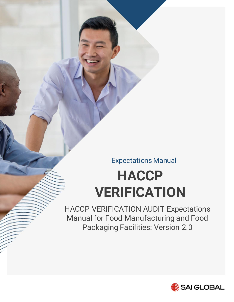Expectations Manual

# **HACCP VERIFICATION**

HACCP VERIFICATION AUDIT Expectations Manual for Food Manufacturing and Food Packaging Facilities: Version 2.0

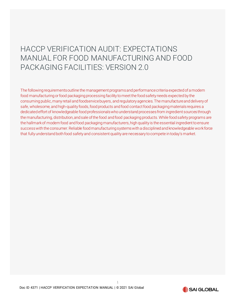# HACCP VERIFICATION AUDIT: EXPECTATIONS MANUAL FOR FOOD MANUFACTURING AND FOOD PACKAGING FACILITIES: VERSION 2.0

The following requirements outline the management programs and performance criteria expected of a modern food manufacturing or food packaging processing facility to meet the food safety needs expected by the consuming public, many retail and foodservice buyers, and regulatory agencies. The manufacture and delivery of safe, wholesome, and high-quality foods, food products and food contact food packaging materials requires a dedicated effort of knowledgeable food professionals who understand processes from ingredient sources through the manufacturing, distribution, and sale of the food and food packaging products. While food safety programs are the hallmark of modern food and food packaging manufacturers, high quality is the essential ingredient to ensure success with the consumer. Reliable food manufacturing systems with a disciplined and knowledgeable work force that fully understand both food safety and consistent quality are necessary to compete in today's market.

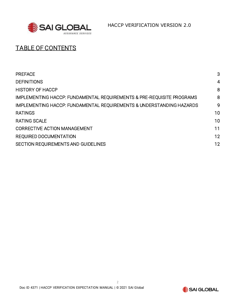

HACCP VERIFICATION VERSION 2.0

# TABLE OF CONTENTS

| <b>PREFACE</b>                                                        | 3              |
|-----------------------------------------------------------------------|----------------|
| <b>DEFINITIONS</b>                                                    | $\overline{4}$ |
| <b>HISTORY OF HACCP</b>                                               | 8              |
| IMPLEMENTING HACCP: FUNDAMENTAL REQUIREMENTS & PRE-REQUISITE PROGRAMS | 8              |
| IMPLEMENTING HACCP: FUNDAMENTAL REQUIREMENTS & UNDERSTANDING HAZARDS  | 9              |
| <b>RATINGS</b>                                                        | 10             |
| <b>RATING SCALE</b>                                                   | 10             |
| <b>CORRECTIVE ACTION MANAGEMENT</b>                                   | 11             |
| <b>REQUIRED DOCUMENTATION</b>                                         | 12             |
| SECTION REQUIREMENTS AND GUIDELINES                                   | 12             |
|                                                                       |                |

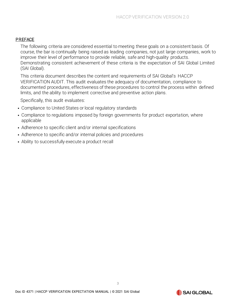#### <span id="page-3-0"></span>PREFACE

The following criteria are considered essential to meeting these goals on a consistent basis. Of course, the bar is continually being raised as leading companies, not just large companies, work to improve their level of performance to provide reliable, safe and high-quality products. Demonstrating consistent achievement of these criteria is the expectation of SAI Global Limited (SAI Global).

This criteria document describes the content and requirements of SAI Global's HACCP VERIFICATION AUDIT. This audit evaluates the adequacy of documentation, compliance to documented procedures, effectiveness of these procedures to control the process within defined limits, and the ability to implement corrective and preventive action plans.

Specifically, this audit evaluates:

- Compliance to United States or local regulatory standards
- Compliance to regulations imposed by foreign governments for product exportation, where applicable
- Adherence to specific client and/or internal specifications
- Adherence to specific and/or internal policies and procedures
- Ability to successfully execute a product recall

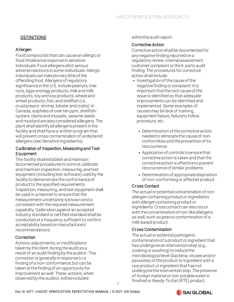# DEFINITIONS

# <span id="page-4-0"></span>Allergen

Food compounds that can cause an allergic or food intolerance response in sensitive individuals. Food allergens elicit serious adverse reactions in some individuals. Allergic individuals can tolerate very little of the offending food. Allergens of regulatory significance in the U.S. include peanuts, tree nuts, eggs and egg products, milk and milk products, soy and soy products, wheat and wheat products, fish, and shellfish (i.e., crustaceans -shrimp, lobster and crabs). In Canada, sulphites of over ten ppm, shellfishoysters, clams and mussels, sesame seeds and mustard are also considered allergens. The plant shall identify all allergens present in the facility and shall have a written program that will prevent cross-contamination of undeclared allergens (see Sensitive Ingredients).

#### Calibration of Inspection, Measuring and Test Equipment

The facility shall establish and maintain documented procedures to control, calibrate and maintain inspection, measuring, and test equipment (including test software) used by the facility to demonstrate the conformance of product to the specified requirements. Inspection, measuring, and test equipment shall be used in a manner to ensure that the measurement uncertainty is known and is consistent with the required measurement capability. Calibration against an accepted industry standard or certified standard shall be conducted at a frequency sufficient to confirm acceptability based on manufacturers' recommendations.

#### **Correction**

Actions, adjustments, or modifications taken by the client during the audit as a result of an audit finding by the auditor. This correction is generally in response to a finding of a non-conformance, but can be taken at the finding of an opportunity for improvement as well. These actions, when observed by the auditor, will be included

withinthe audit report.

### Corrective Action

Corrective action shall be documented for any negative finding reported on a regulatory review, internal assessment, customer complaint or third- party audit finding. The procedures for corrective action shall include:

- Investigation of the cause of the negative finding or complaint. It is important that the root cause of the issue is identified so that adequate improvements can be identified and implemented. Some examples of causes may be lack of training, equipment failure, failureto follow procedure, etc.
	- Determination of the corrective action needed to eliminate the cause of nonconformities and the prevention of its reoccurrence.
	- Application of controls to ensure that corrective action is taken and that the corrective action is effective to prevent reoccurrence of similar problems.
	- Determination of appropriate disposition of non- conforming or affected product.

# Cross Contact

The actual or potential contamination of nonallergen containing product or ingredients with allergen containing product or ingredients. Cross contact can also occur with the contamination of non-like allergens as well, such as peanut contamination of a milk-based product.

# Cross Contamination

The actual or potential pathogenic contamination of a product or ingredient that has undergone an intervention step (e.g., cooking or washing) to reduce the microbiological level (bacteria, viruses and/or parasites) of the product or ingredient with a raw product or ingredient that has not undergone the intervention step. The presence of foreign material or non-potable water in finished or Ready-To-Eat (RTE) product.

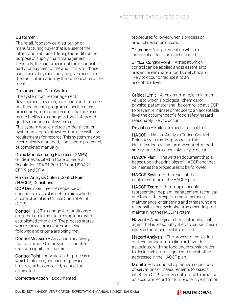# Customer

The retail, foodservice, distribution or manufacturing buyer that is a user of the information obtained during the audit for the purpose of supply chain management. Generally, the customer is not the responsible party for payment of the audit, thus for those customers they must only be given access to the audit information by the authorization of the client.

### Document and Data Control

The system for the management, development, revision, correction and storage of all documents, programs, specifications, procedures, forms and records that are used by the facility to manage its food safety and quality management systems.

This system would include an identification system, an approval system and accessibility requirements for records. This system may be electronically managed, if password protected, or completed manually.

#### Good Manufacturing Practices (GMPs)

Guidelines as cited in Code of Federal Regulation FDA 21 Part 117 and USDA 21 CFR 9 and CFIA.

#### Hazard Analysis Critical Control Point (HACCP) Definitions.

CCP Decision Tree  $-$  A sequence of questions to assist in determining whether a control point is a Critical Control Point (CCP).

**Control** – (a) To manage the conditions of an operation to maintain compliance with established criteria. (b) The process states where correct procedures are being followed and criteria are being met.

Control Measure  $-$  Any action or activity that can be used to prevent, eliminate or reduce a significant hazard.

Control Point  $-$  Any step in the process at which biological, chemical or physical hazard can be controlled, reduced or eliminated.

Corrective Action – Documented

procedures followed when a process or product deviation occurs.

Criterion – A requirement on which a judgment or decision can be based.

Critical Control Point - A step at which control can be applied and is essential to prevent or eliminate a food safety hazard likely to occur or reduce it to an acceptable level.

Critical Limit – A maximum and/or minimum value to which a biological, chemical or physical parameter shall be controlled at a CCP to prevent, eliminate or reduce to an acceptable level the occurrence of a food safety hazard reasonably likely to occur.

Deviation – Failure to meet a critical limit.

HACCP –Hazard Analysis Critical Control Point. A systematic approach to the identification, evaluation and control of food safety hazards reasonably likely to occur.

HACCP Plan - The written document that is based upon the principles of HACCP and that delineates the procedures to be followed.

HACCP System - The result of the implementation of the HACCP plan.

 $HACCP$  Team  $-$  The group of people representing the plant management, technical and food safety experts, manufacturing, maintenance, engineering and others who are responsible for developing, implementing and maintaining the HACCP system.

Hazard – A biological, chemical or physical agent that is reasonably likely to cause illness or injury in the absence of its control.

Hazard Analysis  $-$  The process of collecting and evaluating information on hazards associated with the food under consideration to decide which are significant and shall be addressed in the HACCP plan.

Monitor  $-$  To conduct a planned sequence of observations or measurements to assess whethera CCP is under control and to produce an accurate record for future use in verification.

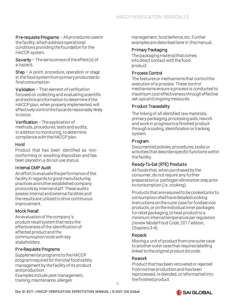Pre-requisite Programs - All procedures used in the facility, which address operational conditions providing the foundation for the HACCP system.

**Severity** – The seriousness of the effect(s) of a hazard.

Step – A point, procedure, operation or stage in the food system from primary production to final consumption.

**Validation** – That element of verification focused on collecting and evaluating scientific and technical information to determine if the HACCP plan, when properly implemented, will effectively control the hazards reasonably likely to occur.

Verification  $-$  The application of methods, procedures, tests and audits, in addition to monitoring, to determine compliance with the HACCP plan.

### Hold

Product that has been identified as nonconforming or awaiting disposition and has been placed in a do not use status.

#### Internal GMP Audit

An effort to evaluate the performance of the facility in regards to good manufacturing practices and other established company protocols by internal staff. These audits assess internal and external facilities and the results are utilized to drive continuous improvement.

# Mock Recall

An evaluation of the company's product recall system that tests the effectiveness of the identification of affected product and the communication tools with key stakeholders.

# Pre-Requisite Programs

Supplemental programs to the HACCP program required for the total food safety management by the facility of its product and production.

Examples include pest management, training, maintenance, allergen

management, food defence, etc. Further examples are described later in this manual.

## Primary Packaging

The packaging material that comes into direct contact with the food product.

# Process Control

The features or mechanisms that control the execution of a process. These control mechanisms ensure a process is conducted to maximum cost effectiveness through effective set-ups and ongoing measures.

### Product Traceability

The linking of all identified raw materials, primary packaging, processing aids, rework and work in progress to a finished product through a coding, identification or tracking system.

# Program

Documented policies, procedures, tasks or activities that describe specific functions within the facility.

# Ready-To-Eat (RTE) Products

All foods that, when purchased by the consumer, do not require any further preparation i.e. pathogen elimination step prior to consumption (i.e. cooking).

Products that are required to be cooked prior to consumption shall have detailed cooking instructions on the outer case for foodservice products, or on the individual inner packages for retail packaging, to heat product to a minimum internal temperature per regulation (review Model Food Code, 2017 edition, Chapters 3-4).

# Repack

Moving a unit of product from one outer case to another outer case that requires labelling linked to the original product lot code.

#### Rework

Product that has been recovered or rejected from normal production and has been reprocessed, re-blended, or reformatted into the finished product.

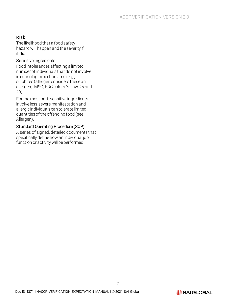# Risk

The likelihood that a food safety hazard will happen and the severity if it did.

#### Sensitive Ingredients

Food intolerances affecting a limited number of individuals that do not involve immunologic mechanisms (e.g., sulphites (allergen considers these an allergen), MSG, FDC colors Yellow #5 and #6).

For the most part, sensitive ingredients involve less severe manifestation and allergic individuals can tolerate limited quantities of the offending food (see Allergen).

# Standard Operating Procedure (SOP)

A series of signed, detailed documents that specifically define how an individual job function or activity will be performed.

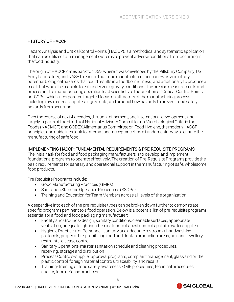#### <span id="page-8-0"></span>HISTORY OF HACCP

Hazard Analysis and Critical Control Points (HACCP), is a methodical and systematic application that can be utilized to in management systems to prevent adverse conditions from occurring in the food industry.

The origin of HACCP dates back to 1959, where it was developed by the Pillsbury Company, US Army Laboratory, and NASA to ensure that food manufactured for space was void of any potential biological hazards that could results in a foodborne illness, and additionally to produce a meal that would be feasible to eat under zero gravity conditions. The precise measurements and process in this manufacturing operation lead scientists to the creation of 'Critical Control Points' or (CCPs) which incorporated targeted focus on all factors of the manufacturing process including raw material supplies, ingredients, and product flow hazards to prevent food safety hazards from occurring.

Over the course of next 4 decades, through refinement, and international development, and largely in parts of the efforts of National Advisory Committee on Microbiological Criteria for Foods (NACMCF) and CODEX Alimentarius Committee on Food Hygiene, the modern HACCP principles and guidelines took to International acceptance has a fundamental way to ensure the manufacturing of safe food.

#### <span id="page-8-1"></span>IMPLEMENTING HACCP: FUNDAMENTAL REQUIREMENTS & PRE-REQUISITE PROGRAMS

The initial task for food and food packaging manufacturers is to develop and implement foundational programs to operate effectively. The creation of Pre-Requisite Programs provide the basic requirements for sanitary and operational support in the manufacturing of safe, wholesome food products.

Pre-Requisite Programs include:

- Good Manufacturing Practices (GMPs)
- Sanitation Standard Operation Procedures (SSOPs)
- Training and Education for Team Members across all levels of the organization

A deeper dive into each of the pre-requisite types can be broken down further to demonstrate specific programs pertinent to a food operation. Below is a potential list of pre-requisite programs essential for a food and food packaging manufacturer:

- Facility and Grounds- design, sanitary conditions, cleanable surfaces, appropriate ventilation, adequate lighting, chemical controls, pest controls, potable water suppliers.
- Hygienic Practices for Personnel- sanitary and adequate restrooms, handwashing protocols, proper attire, prohibiting food and drink in production areas, hair and jewellery restraints, disease control
- Sanitary Operations-master sanitation schedule and cleaning procedures, receiving/storage and distribution
- Process Controls- supplier approval programs, complaint management, glass and brittle plastic control, foreign material controls, traceability, and recalls
- Training-training of food safety awareness, GMP procedures, technical procedures, quality, food defense practices

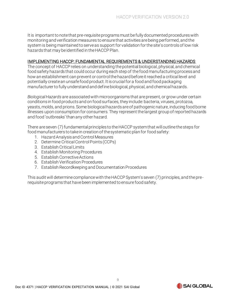It is important to note that pre-requisiteprograms must be fully documented procedures with monitoring and verification measures to ensure that activities are being performed, and the system is being maintained to serve as support for validation for the site's controls of low risk hazards that may be identified in the HACCP Plan.

#### <span id="page-9-0"></span>IMPLEMENTING HACCP: FUNDAMENTAL REQUIREMENTS & UNDERSTANDING HAZARDS

The concept of HACCP relies on understanding the potential biological, physical, and chemical food safety hazards that could occur during each step of the food manufacturing process and how an establishment can prevent or control the hazard before it reached a critical level and potentially create an unsafe food product. It is crucial for a food and food packaging manufacturer to fully understand and define biological, physical, and chemical hazards.

*Biological Hazards* are associated with microorganisms that are present, or grow under certain conditions in food products and on food surfaces, they include: bacteria, viruses, protozoa, yeasts, molds, and prions. Some biological hazards are of pathogenic nature, inducing food borne illnesses upon consumption for consumers. They represent the largest group of reported hazards and food 'outbreaks' than any other hazard.

There are seven (7) fundamental principles to the HACCP system that will outline the steps for food manufacturers to take in creation of the systematic plan for food safety:

- 1. Hazard Analysis and Control Measures
- 2. Determine Critical Control Points (CCPs)
- 3. Establish Critical Limits
- 4. Establish Monitoring Procedures
- 5. Establish Corrective Actions
- 6. Establish Verification Procedures
- 7. Establish Recordkeeping and Documentation Procedures

This audit will determine compliance with the HACCP System's seven (7) principles, and the prerequisite programs that have been implemented to ensure food safety.

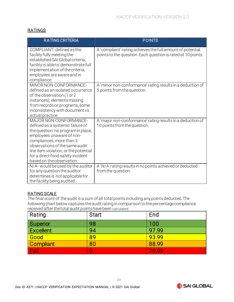#### <span id="page-10-0"></span>**RATINGS**

| <b>RATING CRITERIA</b>                                                                                                                                                                                                                                                                                 | <b>POINTS</b>                                                                                                              |
|--------------------------------------------------------------------------------------------------------------------------------------------------------------------------------------------------------------------------------------------------------------------------------------------------------|----------------------------------------------------------------------------------------------------------------------------|
| COMPLIANT-defined as the<br>facility fully meeting the<br>established SAI Global criteria,<br>facility is able to demonstrate full<br>implementation of the criteria,<br>employees are aware and in<br>compliance.                                                                                     | A 'compliant' rating achieves the full amount of potential<br>points to the question. Each question is rated at 10 points. |
| MINOR NON-CONFORMANCE-<br>defined as an isolated occurrence<br>of the observation (1 or 2<br>instances), elements missing<br>from records or programs, some<br>inconsistency with document vs.<br>actual practice.                                                                                     | A 'minor non-conformance' rating results in a deduction of<br>5 points from the question.                                  |
| MAJOR NON-CONFORMANCE-<br>defined as a systemic failure of<br>the question: no program in place,<br>employees unaware of non-<br>compliances, more than 3<br>observations of the same audit<br>line item violation, or the potential<br>for a direct food safety incident<br>based on the observation. | A 'major non-conformance' rating results in a deduction of<br>10 points from the question.                                 |
| N/A- would be used by the auditor<br>for any question the auditor<br>determines is not applicable for<br>the facility being audited.                                                                                                                                                                   | A 'N/A' rating results in no points achieved or deducted<br>from the question.                                             |

#### <span id="page-10-1"></span>RATING SCALE

The final score of the audit is a sum of all total points including any points deducted. The following chart below captures the audit rating in comparison to the percentage compliance received after the total audit points have been calculated.

| Rating           | Start | End   |
|------------------|-------|-------|
| Superior         | 98    | 100   |
| <b>Excellent</b> | 94    | 97.99 |
| Good             | 89    | 93.99 |
| <b>Compliant</b> | 80    | 88.99 |
| Fail             |       | 79.99 |

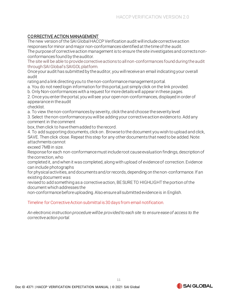### <span id="page-11-0"></span>CORRECTIVE ACTION MANAGEMENT

The new version of the SAI Global HACCP Verification audit will include corrective action responses for minor and major non-conformances identified at the time of the audit.

The purpose of corrective action management is to ensure the site investigates and corrects nonconformances found by the auditor.

The site will be able to provide corrective actions to all non-conformances found during the audit through SAI Global's SAIGOL platform.

Once your audit has submitted by the auditor, you will receive an email indicating your overall audit

rating and a link directing you to the non-conformance management portal.

a. You do not need login information for this portal, just simply click on the link provided.

b. Only Non-conformances with a request for more details will appear in these pages.

2. Once you enter the portal, you will see your open non-conformances, displayed in order of appearance in the audit

checklist.

a. To view the non-conformances by severity, click the and choose the severity level

3. Select the non-conformance you will be adding your corrective action evidence to. Add any comment in the comment

box, then click to have them added to the record.

4. To add supporting documents, click on . Browse to the document you wish to upload and click, SAVE. Then click close. Repeat this step for any other documents that need to be added. Note: attachments cannot

exceed 7MB in size.

Response for each non-conformance must include root cause evaluation findings, description of the correction, who

completed it, and when it was completed, along with upload of evidence of correction. Evidence can include photographs

for physical activities, and documents and/or records, depending on the non-conformance. If an existing document was

revised to add something as a corrective action, BE SURE TO HIGHLIGHT the portion of the document which addresses the

non-conformance before uploading. Also ensure all submitted evidence is in English.

#### Timeline for Corrective Action submittal is 30 days from email notification.

*An electronic instruction procedure will be provided to each site to ensure ease of access to the corrective action portal.*

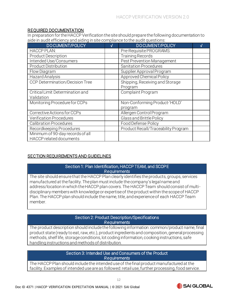#### <span id="page-12-0"></span>REQUIRED DOCUMENTATION

In preparation for the HACCP Verification the site should prepare the following documentation to aide in audit efficiency and aiding in site compliance to the audit questions:

| <b>DOCUMENT/POLICY</b>                                      | V | <b>DOCUMENT/POLICY</b>                     |  |
|-------------------------------------------------------------|---|--------------------------------------------|--|
| <b>HACCP PLAN:</b>                                          |   | Pre-Requisite PROGRAMS:                    |  |
| <b>Product Description</b>                                  |   | <b>Training Records</b>                    |  |
| Intended Use/Consumers                                      |   | Pest Prevention Management                 |  |
| <b>Product Distribution</b>                                 |   | <b>Sanitation Procedures</b>               |  |
| Flow Diagram                                                |   | Supplier Approval Program                  |  |
| Hazard Analysis                                             |   | Approved Chemical Policy                   |  |
| CCP Determination/Decision Tree                             |   | Shipping, Receiving and Storage<br>Program |  |
| Critical Limit Determination and<br>Validation              |   | Complaint Program                          |  |
| Monitoring Procedure for CCPs                               |   | Non-Conforming Product-'HOLD'<br>program   |  |
| Corrective Actions for CCPs                                 |   | Allergen Control Program                   |  |
| <b>Verification Procedures</b>                              |   | Glass and Brittle Policy                   |  |
| <b>Calibration Procedures</b>                               |   | Food Defense Policy                        |  |
| Recordkeeping Procedures                                    |   | Product Recall/Traceability Program        |  |
| Minimum of 90-day records of all<br>HACCP related documents |   |                                            |  |

#### <span id="page-12-1"></span>SECTION REQUIREMENTS AND GUIDELINES

#### Section 1: Plan Identification, HACCP TEAM, and SCOPE *Requirements*

The site should ensure that the HACCP Plan clearly identifies the products, groups, services manufactured at the facility. The plan must include the company's legal name and address/location in which the HACCP plan covers. The HACCP Team should consist of multidisciplinary members with knowledge or expertise of the product within the scope of HACCP Plan. The HACCP plan should include the name, title, and experience of each HACCP Team member.

#### Section 2: Product Description/Specifications *Requirements*

The product description should include the following information: common/product name, final product state (ready to eat, raw, etc.), product ingredients and composition, general processing methods, shelf life, storage conditions, lot coding information, cooking instructions, safe handling instructions and methods of distribution.

#### Section 3: Intended Use and Consumers of the Product *Requirements*

The HACCP Plan should include the intended use of the final product manufactured at the facility. Examples of intended use are as followed: retail use, further processing, food service.



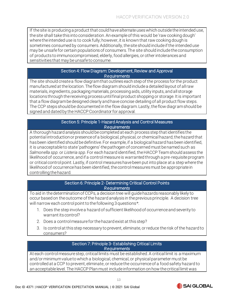If the site is producing a product that could have alternate uses which outside the intended use, the site shall take this into consideration. An example of this would be 'raw cooking dough' where the intended use is to cook fully; however, it is known that raw cooking dough is sometimes consumed by consumers. Additionally, the site should include if the intended use may be unsafe for certain populations of consumers. The site should includethe consumption of products to immunocompromised, elderly, food allergies, or other intolerances and sensitivities that may be unsafe to consume.

#### Section 4: Flow Diagram: Development, Review and Approval *Requirements*

The site should create a flow diagram that outlines each step of the process for the product manufactured at the location. The flow diagram should include a detailed layout of all raw materials, ingredients, packaging materials, processing aids, utility inputs, and all storage locations through the receiving process until final product shopping or storage. It is important that a flow diagram be designed clearly and have concise detailing of all product flow steps. The CCP steps should be documented in the flow diagram. Lastly, the flow diagram should be signed and dated by the HACCP Coordinator for approval.

#### Section 5: Principle 1-Hazard Analysis and Control Measures *Requirements*

A thorough hazard analysis should be completed at each process step that identifies the potential introduction or presence of a biological, physical, or chemical hazard; the hazard that has been identified should be definitive. For example, if a biological hazard has been identified, it is unacceptable to state 'pathogens'-the pathogen of concerned must be named such as *Salmonella spp.*or *Listeria spp.*For each hazard identified, the HACCP Team should assess the likelihood of occurrence, and if a control measure is warranted through a pre-requisite program or critical control point. Lastly, if control measures have been put into place at a step where the likelihood of occurrence has been identified, the control measures must be appropriate in controlling the hazard.

#### Section 6: Principle 2- Determining Critical Control Points *Requirements*

To aid in the determination of CCPs, a decision tree will guide hazards reasonably likely to occur based on the outcome of the hazard analysis in the previous principle. A decision tree will narrow each control point to the following 3 questions\*:

- 1. Does the step involve a hazard of sufficient likelihood of occurrence and severity to warrant its control?
- 2. Does a control measure for the hazard exist at this step?
- 3. Is control at this step necessary to prevent, eliminate, or reduce the risk of the hazard to consumers?

#### Section 7: Principle 3- Establishing Critical Limits *Requirements*

At each control measure step, critical limits must be established. A critical limit is a maximum and/or minimum value to which a biological, chemical, or physical parameter must be controlled at a CCP to prevent, eliminate, or reduce the occurrence of a food safety hazard to an acceptable level. The HACCP Plan must include information on how the critical limit was

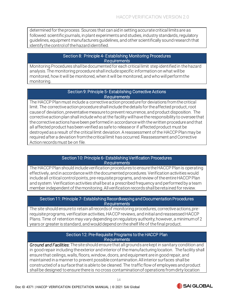determined for the process. Sources that can aid in setting accurate critical limits are as followed: scientific journals, in plant experiments and studies, industry standards, regulatory guidelines, equipment manufacturers guidelines, and other scientifically sound research that identify the control of the hazard identified.

#### Section 8: Principle 4- Establishing Monitoring Procedures *Requirements*

Monitoring Procedures shall be documented for each critical limit step identified in the hazard analysis. The monitoring procedure shall include specific information on what will be monitored, how it will be monitored, when it will be monitored, and who will perform the monitoring.

#### Section 9: Principle 5- Establishing Corrective Actions *Requirements*

The HACCP Plan must include a corrective action procedure for deviations from the critical limit. The corrective action procedure shall include the details for the affected product, root cause of deviation, preventative measure to prevent recurrence, and product disposition. The corrective action plan shall include who at the facility will have the responsibility to oversee that the corrective actions have been performed in accordance with the written procedure and that all affected product has been verified as safe to release or if affected product must be destroyed as a result of the critical limit deviation. A reassessment of the HACCP Plan may be required after a deviation from the critical limit has occurred. Reassessment and Corrective Action records must be on file.

#### Section 10: Principle 6- Establishing Verification Procedures *Requirements*

The HACCP Plan should include verification procedures to ensure the HACCP Plan is operating effectively, and in accordance with the documented procedures. Verification activities would include all critical control points, pre-requisite programs, and review of the entire HACCP Plan and system. Verification activities shall be at a prescribed frequency and performed by a team member independent of the monitoring. All verification records shall be retained for review.

#### Section 11: Principle 7- Establishing Recordkeeping and Documentation Procedures *Requirements*

The site should ensure to retain all records of monitoring procedures, corrective actions, prerequisite programs, verification activities, HACCP reviews, and initial and reassessed HACCP Plans. Time of retention may vary depending on regulatory authority; however, a minimum of 2 years or greater is standard, and would depend on the shelf life of the final product.

#### Section 12: Pre-Requisite Programs to the HACCP Plan *Requirements*

*Ground and Facilities*: The site should ensure that all grounds are kept in sanitary condition and in good repair including the exterior and interior of the manufacturing location. The facility shall ensure that ceilings, walls, floors, window, doors, and equipment are in good repair, and maintained in a manner to prevent possible contamination. All interior surfaces shall be constructed of a surface that is able to be cleaned. The traffic flow of employees and product shall be designed to ensure there is no cross contamination of operations from dirty location

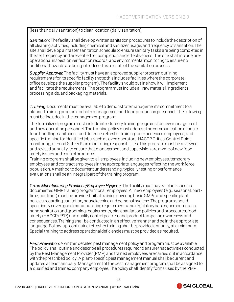#### (less than daily sanitation) to clean location (daily sanitation).

*Sanitation*:The facility shall develop written sanitation procedures to include the description of all cleaning activities, including chemical and sanitizer usage, and frequency of sanitation. The site shall develop a master sanitation schedule to ensure sanitary tasks are being completed in the set frequency and are verified for completion and effectiveness. The site shall include preoperational inspection verification records, and environmental monitoring to ensure no additional hazards are being introduced as a result of the sanitation process.

*Supplier Approval:* The facility must have an approved supplier program outlining requirements for its specific facility (note: this includes facilities where the corporate office develops the supplier program). The facility should outline how it will implement and facilitate the requirements. The program must include all raw material, ingredients, processing aids, and packaging materials.

**Training**: Documents must be available to demonstrate management's commitment to a planned training program for both management and food production personnel. The following must be included in the management program:

The formalized program must include introductory training programs for new management and new operating personnel. The training policy must address the communication of basic food handling, sanitation, food defence, refresher trainingfor experienced employees, and specific trainingfor identified jobs, such as oven operators, HACCP Critical Control Point monitoring, or Food Safety Plan monitoring responsibilities. This program must be reviewed and revised annually, to ensure that management and supervision are aware of new food safety issues and control programs.

Training programs shall be given to all employees, including new employees, temporary employees and contract employees in the appropriate languages reflecting the work force population. A method to document understanding, typically testing or performance evaluations shall be an integral part of the training program.

*Good Manufacturing Practices/Employee Hygiene:* The facility must have a plant-specific, documented GMP training program for all employees. All new employees (e.g., seasonal, parttime, contract) must be provided initial training covering basic GMPs and specific plant policies regarding sanitation, housekeeping and personal hygiene. The program should specifically cover: good manufacturing requirements and regulatory basics, personal dress, hand sanitation and grooming requirements, plant sanitation policies and procedures, food safety (HACCP/FSP) and quality control policies, and product tampering awareness and consequences. Training shall be conducted in an effective manner and be in the appropriate language. Follow-up, continuing refresher training shall be provided annually, at a minimum. Special training to address operational deficiencies must be provided as required.

*Pest Prevention*:A written detailed pest management policy and program must be available. The policy shall outline and describe all procedures required to ensure that activities conducted by the Pest Management Provider (PMP) and trained employees are carried out in accordance with the prescribed policy. A plant-specific pest management manual shall be current and updated at least annually. Management of the pest management program shall be assigned to a qualified and trained company employee. The policy shall identify forms used by the PMP.

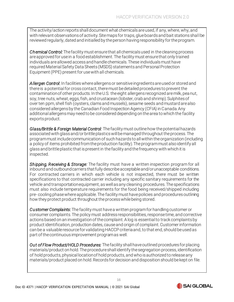The activity/action reports shall document what chemicals are used, if any, where, why, and with relevant observations of activity. Site maps for traps, glue boards and bait stations shall be reviewed regularly, dated and initialled by the person having responsibility for the program.

*Chemical Control:* The facility must ensure that all chemicals used in the cleaning process are approved for use in a food establishment. The facility must ensure that only trained individuals are allowed access and handle chemicals. These individuals must have required Material Safety Data Sheets (MSDS) statements and Personal Protection Equipment (PPE) present for use with all chemicals.

*Allergen Control*: In facilities where allergens or sensitive ingredients are used or stored and there is a potential for cross contact, there must be detailed procedures to prevent the contamination of other products. In the U.S. the eight allergens recognized are milk, pea nut, soy, tree nuts, wheat, eggs, fish, and crustacean (lobster, crab and shrimp). Sulphites of over ten ppm, shell fish (oysters, clams and mussels), sesame seeds and mustard are also considered allergens by the Canadian Food Inspection Agency (CFIA) in Canada. Any additional allergens may need to be considered depending on the area to which the facility exports product.

*Glass/Brittle & Foreign Material Control:* The facility must outline how the potential hazards associated with glass and/or brittle plastics will be managed throughout the process. The program must include communication of such hazards to all within the organization (including a policy of items prohibited from the production facility). The program must also identify all glass and brittle plastic that is present in the facility and the frequency with which it is inspected.

*Shipping, Receiving & Storage:* The facility must have a written inspection program for all inbound and outbound carriers that fully describe acceptable and/or unacceptable conditions. For contracted carriers in which each vehicle is not inspected, there must be written specifications to that contracted carrier including any specific sanitary requirements for the vehicle and transportation equipment, as well as any cleaning procedures. The specifications must also include temperature requirements for the food being received/shipped including pre- cooling phase where applicable. The facility must have policies and procedures outlining how they protect product throughout the process while being stored.

*Customer Complaints*:The facility must have a written program for handling customer or consumer complaints. The policy must address responsibilities, response time, and corrective actions based on an investigation of the complaint. A log is essential to track complaints by product identification, production dates, cause and origin of complaint. Customer information can be a valuable resource for validating HACCP criteria and, to that end, should be used as part of the continuous improvement program as well.

*Out of Flow Product/HOLD Procedures:* The facility shall have outlined procedures for placing materials/product on hold. The procedure shall identify the segregation process, identification of hold products, physical location of hold products, and who is authorized to release any materials/product placed on hold. Records for decision and disposition should be kept on file.